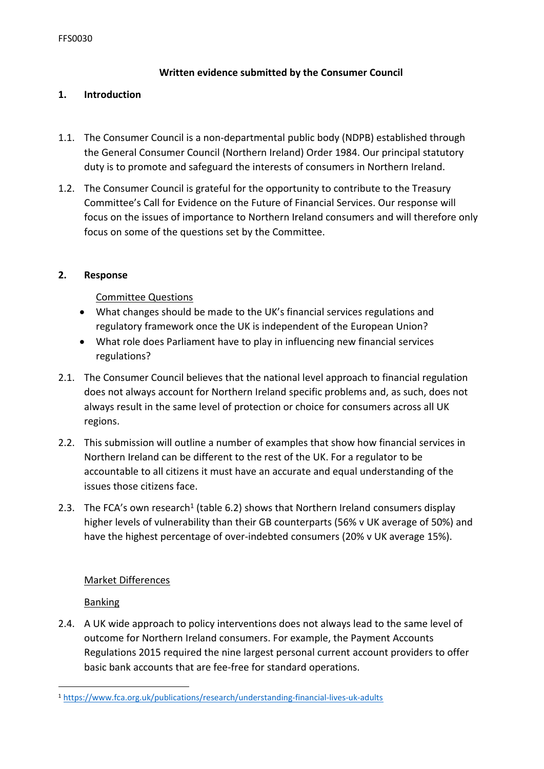# **Written evidence submitted by the Consumer Council**

## **1. Introduction**

- 1.1. The Consumer Council is a non-departmental public body (NDPB) established through the General Consumer Council (Northern Ireland) Order 1984. Our principal statutory duty is to promote and safeguard the interests of consumers in Northern Ireland.
- 1.2. The Consumer Council is grateful for the opportunity to contribute to the Treasury Committee's Call for Evidence on the Future of Financial Services. Our response will focus on the issues of importance to Northern Ireland consumers and will therefore only focus on some of the questions set by the Committee.

# **2. Response**

Committee Questions

- What changes should be made to the UK's financial services regulations and regulatory framework once the UK is independent of the European Union?
- What role does Parliament have to play in influencing new financial services regulations?
- 2.1. The Consumer Council believes that the national level approach to financial regulation does not always account for Northern Ireland specific problems and, as such, does not always result in the same level of protection or choice for consumers across all UK regions.
- 2.2. This submission will outline a number of examples that show how financial services in Northern Ireland can be different to the rest of the UK. For a regulator to be accountable to all citizens it must have an accurate and equal understanding of the issues those citizens face.
- 2.3. The FCA's own research<sup>1</sup> (table 6.2) shows that Northern Ireland consumers display higher levels of vulnerability than their GB counterparts (56% v UK average of 50%) and have the highest percentage of over-indebted consumers (20% v UK average 15%).

# Market Differences

# Banking

2.4. A UK wide approach to policy interventions does not always lead to the same level of outcome for Northern Ireland consumers. For example, the Payment Accounts Regulations 2015 required the nine largest personal current account providers to offer basic bank accounts that are fee-free for standard operations.

<sup>1</sup> <https://www.fca.org.uk/publications/research/understanding-financial-lives-uk-adults>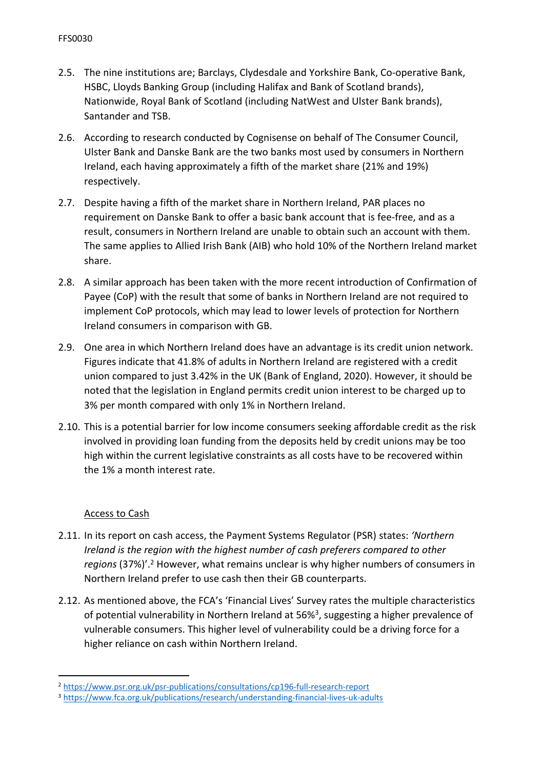- 2.5. The nine institutions are; Barclays, Clydesdale and Yorkshire Bank, Co-operative Bank, HSBC, Lloyds Banking Group (including Halifax and Bank of Scotland brands), Nationwide, Royal Bank of Scotland (including NatWest and Ulster Bank brands), Santander and TSB.
- 2.6. According to research conducted by Cognisense on behalf of The Consumer Council, Ulster Bank and Danske Bank are the two banks most used by consumers in Northern Ireland, each having approximately a fifth of the market share (21% and 19%) respectively.
- 2.7. Despite having a fifth of the market share in Northern Ireland, PAR places no requirement on Danske Bank to offer a basic bank account that is fee-free, and as a result, consumers in Northern Ireland are unable to obtain such an account with them. The same applies to Allied Irish Bank (AIB) who hold 10% of the Northern Ireland market share.
- 2.8. A similar approach has been taken with the more recent introduction of Confirmation of Payee (CoP) with the result that some of banks in Northern Ireland are not required to implement CoP protocols, which may lead to lower levels of protection for Northern Ireland consumers in comparison with GB.
- 2.9. One area in which Northern Ireland does have an advantage is its credit union network. Figures indicate that 41.8% of adults in Northern Ireland are registered with a credit union compared to just 3.42% in the UK (Bank of England, 2020). However, it should be noted that the legislation in England permits credit union interest to be charged up to 3% per month compared with only 1% in Northern Ireland.
- 2.10. This is a potential barrier for low income consumers seeking affordable credit as the risk involved in providing loan funding from the deposits held by credit unions may be too high within the current legislative constraints as all costs have to be recovered within the 1% a month interest rate.

# Access to Cash

- 2.11. In its report on cash access, the Payment Systems Regulator (PSR) states: *'Northern Ireland is the region with the highest number of cash preferers compared to other regions* (37%)'.<sup>2</sup> However, what remains unclear is why higher numbers of consumers in Northern Ireland prefer to use cash then their GB counterparts.
- 2.12. As mentioned above, the FCA's 'Financial Lives' Survey rates the multiple characteristics of potential vulnerability in Northern Ireland at 56%<sup>3</sup>, suggesting a higher prevalence of vulnerable consumers. This higher level of vulnerability could be a driving force for a higher reliance on cash within Northern Ireland.

<sup>2</sup> <https://www.psr.org.uk/psr-publications/consultations/cp196-full-research-report>

<sup>3</sup> <https://www.fca.org.uk/publications/research/understanding-financial-lives-uk-adults>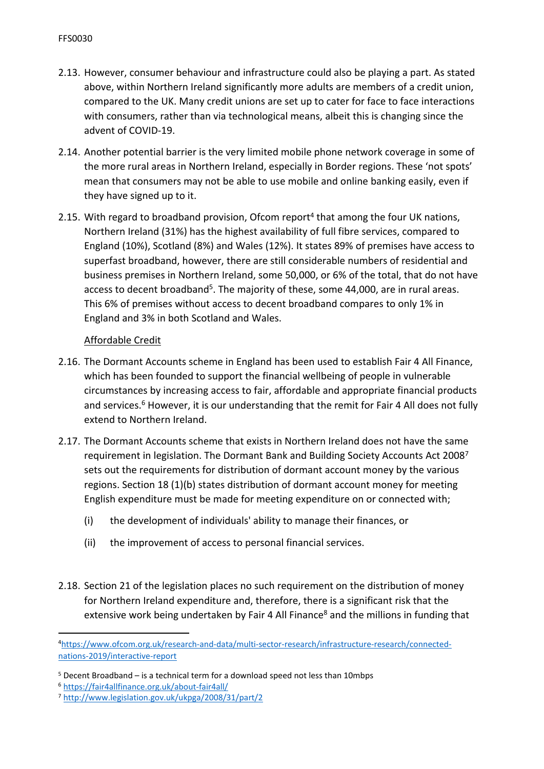- 2.13. However, consumer behaviour and infrastructure could also be playing a part. As stated above, within Northern Ireland significantly more adults are members of a credit union, compared to the UK. Many credit unions are set up to cater for face to face interactions with consumers, rather than via technological means, albeit this is changing since the advent of COVID-19.
- 2.14. Another potential barrier is the very limited mobile phone network coverage in some of the more rural areas in Northern Ireland, especially in Border regions. These 'not spots' mean that consumers may not be able to use mobile and online banking easily, even if they have signed up to it.
- 2.15. With regard to broadband provision, Ofcom report<sup>4</sup> that among the four UK nations, Northern Ireland (31%) has the highest availability of full fibre services, compared to England (10%), Scotland (8%) and Wales (12%). It states 89% of premises have access to superfast broadband, however, there are still considerable numbers of residential and business premises in Northern Ireland, some 50,000, or 6% of the total, that do not have access to decent broadband<sup>5</sup>. The majority of these, some 44,000, are in rural areas. This 6% of premises without access to decent broadband compares to only 1% in England and 3% in both Scotland and Wales.

# Affordable Credit

- 2.16. The Dormant Accounts scheme in England has been used to establish Fair 4 All Finance, which has been founded to support the financial wellbeing of people in vulnerable circumstances by increasing access to fair, affordable and appropriate financial products and services.<sup>6</sup> However, it is our understanding that the remit for Fair 4 All does not fully extend to Northern Ireland.
- 2.17. The Dormant Accounts scheme that exists in Northern Ireland does not have the same requirement in legislation. The Dormant Bank and Building Society Accounts Act 2008<sup>7</sup> sets out the requirements for distribution of dormant account money by the various regions. Section 18 (1)(b) states distribution of dormant account money for meeting English expenditure must be made for meeting expenditure on or connected with;
	- (i) the development of individuals' ability to manage their finances, or
	- (ii) the improvement of access to personal financial services.
- 2.18. Section 21 of the legislation places no such requirement on the distribution of money for Northern Ireland expenditure and, therefore, there is a significant risk that the extensive work being undertaken by Fair 4 All Finance<sup>8</sup> and the millions in funding that

<sup>4</sup>[https://www.ofcom.org.uk/research-and-data/multi-sector-research/infrastructure-research/connected](https://www.ofcom.org.uk/research-and-data/multi-sector-research/infrastructure-research/connected-nations-2019/interactive-report)[nations-2019/interactive-report](https://www.ofcom.org.uk/research-and-data/multi-sector-research/infrastructure-research/connected-nations-2019/interactive-report)

 $5$  Decent Broadband – is a technical term for a download speed not less than 10mbps

<sup>6</sup> <https://fair4allfinance.org.uk/about-fair4all/>

<sup>7</sup> <http://www.legislation.gov.uk/ukpga/2008/31/part/2>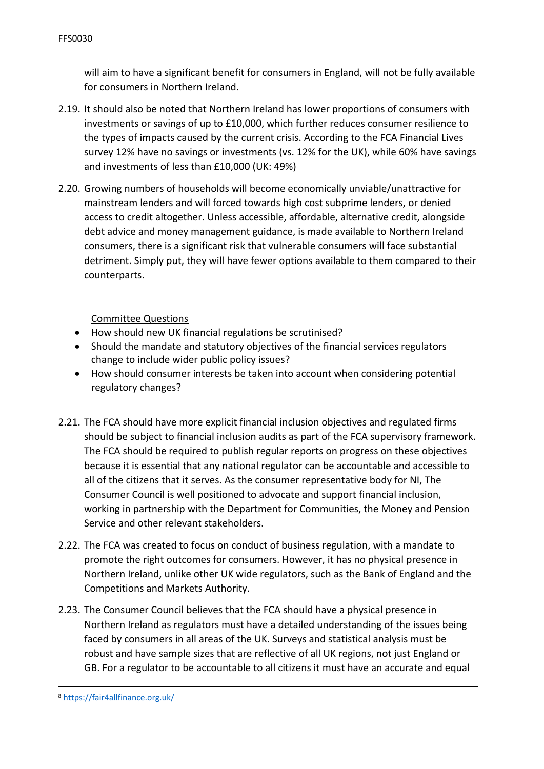will aim to have a significant benefit for consumers in England, will not be fully available for consumers in Northern Ireland.

- 2.19. It should also be noted that Northern Ireland has lower proportions of consumers with investments or savings of up to £10,000, which further reduces consumer resilience to the types of impacts caused by the current crisis. According to the FCA Financial Lives survey 12% have no savings or investments (vs. 12% for the UK), while 60% have savings and investments of less than £10,000 (UK: 49%)
- 2.20. Growing numbers of households will become economically unviable/unattractive for mainstream lenders and will forced towards high cost subprime lenders, or denied access to credit altogether. Unless accessible, affordable, alternative credit, alongside debt advice and money management guidance, is made available to Northern Ireland consumers, there is a significant risk that vulnerable consumers will face substantial detriment. Simply put, they will have fewer options available to them compared to their counterparts.

Committee Questions

- How should new UK financial regulations be scrutinised?
- Should the mandate and statutory objectives of the financial services regulators change to include wider public policy issues?
- How should consumer interests be taken into account when considering potential regulatory changes?
- 2.21. The FCA should have more explicit financial inclusion objectives and regulated firms should be subject to financial inclusion audits as part of the FCA supervisory framework. The FCA should be required to publish regular reports on progress on these objectives because it is essential that any national regulator can be accountable and accessible to all of the citizens that it serves. As the consumer representative body for NI, The Consumer Council is well positioned to advocate and support financial inclusion, working in partnership with the Department for Communities, the Money and Pension Service and other relevant stakeholders.
- 2.22. The FCA was created to focus on conduct of business regulation, with a mandate to promote the right outcomes for consumers. However, it has no physical presence in Northern Ireland, unlike other UK wide regulators, such as the Bank of England and the Competitions and Markets Authority.
- 2.23. The Consumer Council believes that the FCA should have a physical presence in Northern Ireland as regulators must have a detailed understanding of the issues being faced by consumers in all areas of the UK. Surveys and statistical analysis must be robust and have sample sizes that are reflective of all UK regions, not just England or GB. For a regulator to be accountable to all citizens it must have an accurate and equal

<sup>8</sup> <https://fair4allfinance.org.uk/>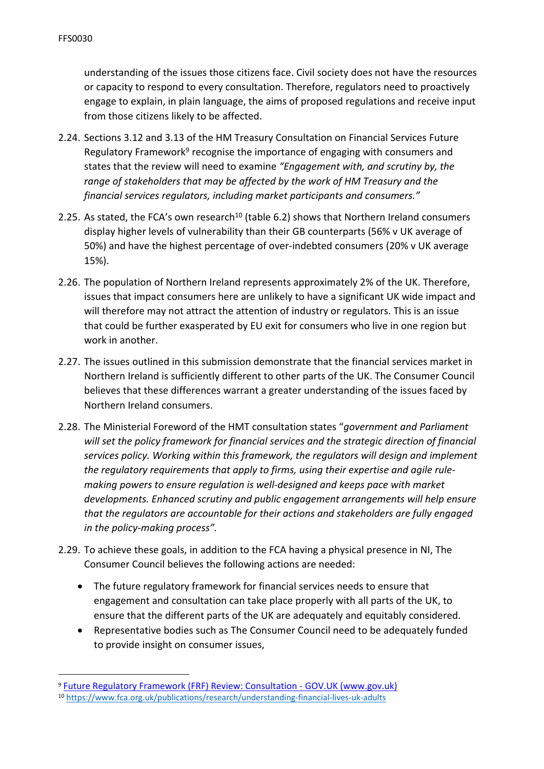understanding of the issues those citizens face. Civil society does not have the resources or capacity to respond to every consultation. Therefore, regulators need to proactively engage to explain, in plain language, the aims of proposed regulations and receive input from those citizens likely to be affected.

- 2.24. Sections 3.12 and 3.13 of the HM Treasury Consultation on Financial Services Future Regulatory Framework<sup>9</sup> recognise the importance of engaging with consumers and states that the review will need to examine *"Engagement with, and scrutiny by, the range of stakeholders that may be affected by the work of HM Treasury and the financial services regulators, including market participants and consumers."*
- 2.25. As stated, the FCA's own research<sup>10</sup> (table 6.2) shows that Northern Ireland consumers display higher levels of vulnerability than their GB counterparts (56% v UK average of 50%) and have the highest percentage of over-indebted consumers (20% v UK average 15%).
- 2.26. The population of Northern Ireland represents approximately 2% of the UK. Therefore, issues that impact consumers here are unlikely to have a significant UK wide impact and will therefore may not attract the attention of industry or regulators. This is an issue that could be further exasperated by EU exit for consumers who live in one region but work in another.
- 2.27. The issues outlined in this submission demonstrate that the financial services market in Northern Ireland is sufficiently different to other parts of the UK. The Consumer Council believes that these differences warrant a greater understanding of the issues faced by Northern Ireland consumers.
- 2.28. The Ministerial Foreword of the HMT consultation states "*government and Parliament will set the policy framework for financial services and the strategic direction of financial services policy. Working within this framework, the regulators will design and implement the regulatory requirements that apply to firms, using their expertise and agile rulemaking powers to ensure regulation is well-designed and keeps pace with market developments. Enhanced scrutiny and public engagement arrangements will help ensure that the regulators are accountable for their actions and stakeholders are fully engaged in the policy-making process".*
- 2.29. To achieve these goals, in addition to the FCA having a physical presence in NI, The Consumer Council believes the following actions are needed:
	- The future regulatory framework for financial services needs to ensure that engagement and consultation can take place properly with all parts of the UK, to ensure that the different parts of the UK are adequately and equitably considered.
	- Representative bodies such as The Consumer Council need to be adequately funded to provide insight on consumer issues,

<sup>9</sup> [Future](https://www.gov.uk/government/consultations/future-regulatory-framework-frf-review-consultation) [Regulatory](https://www.gov.uk/government/consultations/future-regulatory-framework-frf-review-consultation) [Framework](https://www.gov.uk/government/consultations/future-regulatory-framework-frf-review-consultation) [\(FRF\)](https://www.gov.uk/government/consultations/future-regulatory-framework-frf-review-consultation) [Review:](https://www.gov.uk/government/consultations/future-regulatory-framework-frf-review-consultation) [Consultation](https://www.gov.uk/government/consultations/future-regulatory-framework-frf-review-consultation) [-](https://www.gov.uk/government/consultations/future-regulatory-framework-frf-review-consultation) [GOV.UK](https://www.gov.uk/government/consultations/future-regulatory-framework-frf-review-consultation) [\(www.gov.uk\)](https://www.gov.uk/government/consultations/future-regulatory-framework-frf-review-consultation)

<sup>10</sup> <https://www.fca.org.uk/publications/research/understanding-financial-lives-uk-adults>